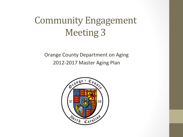### Community Engagement **Meeting 3**

Orange County Department on Aging 2012-2017 Master Aging Plan

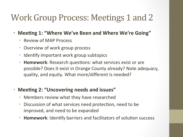#### Work Group Process: Meetings 1 and 2

- Meeting 1: "Where We've Been and Where We're Going"
	- **Review of MAP Process**
	- Overview of work group process
	- Identify important work group subtopics
	- **Homework:** Research questions: what services exist or are possible? Does it exist in Orange County already? Note adequacy, quality, and equity. What more/different is needed?

#### • Meeting 2: "Uncovering needs and issues"

- Members review what they have researched
- Discussion of what services need protection, need to be improved, and need to be expanded
- **Homework:** Identify barriers and facilitators of solution success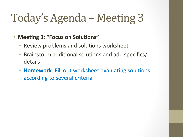# Today's Agenda – Meeting 3

#### • **Meeting 3: "Focus on Solutions"**

- Review problems and solutions worksheet
- Brainstorm additional solutions and add specifics/ details
- **Homework:** Fill out worksheet evaluating solutions according to several criteria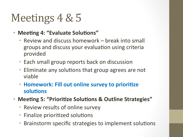# Meetings 4 & 5

- **Meeting 4: "Evaluate Solutions"** 
	- Review and discuss homework break into small groups and discuss your evaluation using criteria provided'
	- Each small group reports back on discussion
	- $\bullet$  Eliminate any solutions that group agrees are not viable'
	- **Homework: Fill out online survey to prioritize** solutions
- Meeting 5: "Prioritize Solutions & Outline Strategies"
	- Review results of online survey
	- Finalize prioritized solutions
	- Brainstorm specific strategies to implement solutions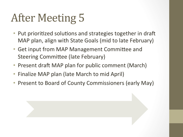# After Meeting 5

- Put prioritized solutions and strategies together in draft MAP plan, align with State Goals (mid to late February)
- Get input from MAP Management Committee and Steering Committee (late February)
- Present draft MAP plan for public comment (March)
- Finalize MAP plan (late March to mid April)
- Present to Board of County Commissioners (early May)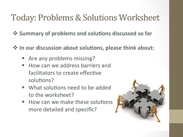#### Today: Problems & Solutions Worksheet

 $\div$  **Summary of problems and solutions discussed so far** 

 $\cdot$  **In our discussion about solutions, please think about:** 

- Are any problems missing?
- " How can we address barriers and facilitators to create effective solutions?
- " What solutions need to be added to the worksheet?
- " How can we make these solutions more detailed and specific?

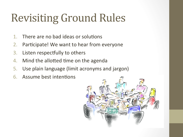# Revisiting Ground Rules

- 1. There are no bad ideas or solutions
- 2. Participate! We want to hear from everyone
- 3. Listen respectfully to others
- 4. Mind the allotted time on the agenda
- 5. Use plain language (limit acronyms and jargon)
- 6. Assume best intentions

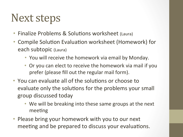## **Next steps**

- Finalize Problems & Solutions worksheet (Laura)
- Compile Solution Evaluation worksheet (Homework) for each subtopic (Laura)
	- You will receive the homework via email by Monday.
	- Or you can elect to receive the homework via mail if you prefer (please fill out the regular mail form).
- You can evaluate all of the solutions or choose to evaluate only the solutions for the problems your small group discussed today
	- We will be breaking into these same groups at the next meeting
- Please bring your homework with you to our next meeting and be prepared to discuss your evaluations.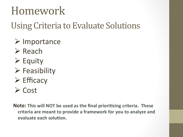## Homework)

#### Using Criteria to Evaluate Solutions

- $\triangleright$  Importance
- $\triangleright$  Reach
- $\triangleright$  Equity
- $\triangleright$  Feasibility
- $\triangleright$  Efficacy
- $\triangleright$  Cost

**Note: This will NOT be used as the final prioritizing criteria. These** criteria are meant to provide a framework for you to analyze and **evaluate each solution.**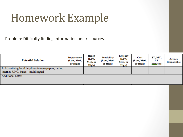## Homework Example

Problem: Difficulty finding information and resources.

| <b>Potential Solution</b>                                                                   | Importance<br>(Low, Med,<br>or High) | Reach<br>(Low,<br>Med, or<br>High) | <b>Feasibility</b><br>(Low, Med,<br>or High) | Efficacy<br>(Low.<br>Med, or<br>High) | Cost<br>(Low, Med,<br>or High) | ST, MT,<br>LT<br>(pick one) | Agency<br><b>Responsible</b> |
|---------------------------------------------------------------------------------------------|--------------------------------------|------------------------------------|----------------------------------------------|---------------------------------------|--------------------------------|-----------------------------|------------------------------|
| 1. Advertising local helplines in newspapers, radio,<br>internet, UNC, buses – multilingual |                                      |                                    |                                              |                                       |                                |                             |                              |
| Additional notes:                                                                           |                                      |                                    |                                              |                                       |                                |                             |                              |
| - -<br>. .<br>$-1$                                                                          |                                      |                                    |                                              |                                       |                                |                             |                              |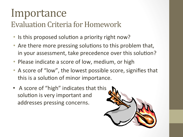## Importance)

#### Evaluation Criteria for Homework

- Is this proposed solution a priority right now?
- Are there more pressing solutions to this problem that, in your assessment, take precedence over this solution?
- Please indicate a score of low, medium, or high
- A score of "low", the lowest possible score, signifies that this is a solution of minor importance.
- A score of "high" indicates that this solution is very important and addresses pressing concerns.

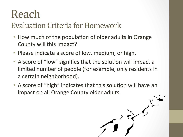## Reach)

#### Evaluation Criteria for Homework

- How much of the population of older adults in Orange County will this impact?
- Please indicate a score of low, medium, or high.
- A score of "low" signifies that the solution will impact a limited number of people (for example, only residents in a certain neighborhood).
- A score of "high" indicates that this solution will have an impact on all Orange County older adults.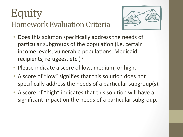### Equity) **Homework Evaluation Criteria**



- Does this solution specifically address the needs of particular subgroups of the population (i.e. certain income levels, vulnerable populations, Medicaid recipients, refugees, etc.)?
- Please indicate a score of low, medium, or high.
- A score of "low" signifies that this solution does not specifically address the needs of a particular subgroup(s).
- A score of "high" indicates that this solution will have a significant impact on the needs of a particular subgroup.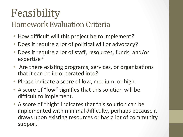## Feasibility)

#### **Homework Evaluation Criteria**

- How difficult will this project be to implement?
- Does it require a lot of political will or advocacy?
- Does it require a lot of staff, resources, funds, and/or expertise?
- Are there existing programs, services, or organizations that it can be incorporated into?
- Please indicate a score of low, medium, or high.
- A score of "low" signifies that this solution will be difficult to implement.
- A score of "high" indicates that this solution can be implemented with minimal difficulty, perhaps because it draws upon existing resources or has a lot of community support.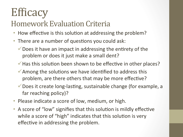# **Efficacy**

#### **Homework Evaluation Criteria**

- How effective is this solution at addressing the problem?
- There are a number of questions you could ask:
	- $\checkmark$  Does it have an impact in addressing the entirety of the problem or does it just make a small dent?
	- $\checkmark$  Has this solution been shown to be effective in other places?
	- $\checkmark$  Among the solutions we have identified to address this problem, are there others that may be more effective?
	- $\checkmark$  Does it create long-lasting, sustainable change (for example, a far reaching policy)?
- Please indicate a score of low, medium, or high.
- A score of "low" signifies that this solution is mildly effective while a score of "high" indicates that this solution is very effective in addressing the problem.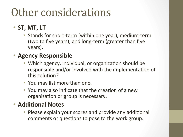## Other considerations

#### • **ST, MT, LT**

• Stands for short-term (within one year), medium-term (two to five years), and long-term (greater than five years).

#### **Agency Responsible**

- Which agency, individual, or organization should be responsible and/or involved with the implementation of this solution?
- You may list more than one.
- You may also indicate that the creation of a new organization or group is necessary.

#### **• Additional Notes**

• Please explain your scores and provide any additional comments or questions to pose to the work group.